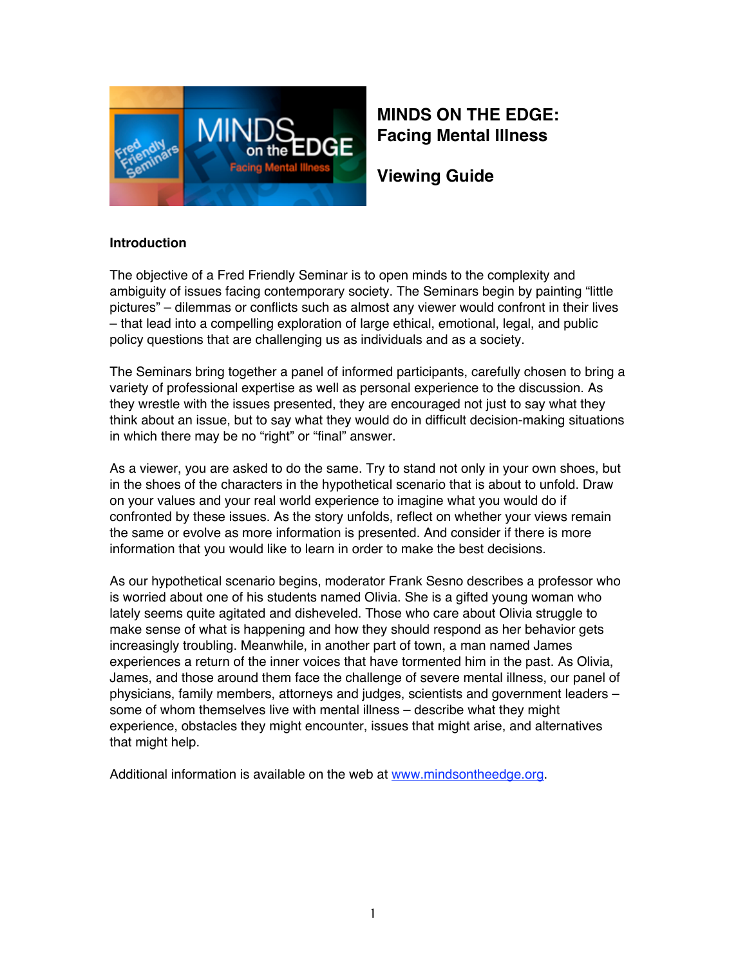

# **MINDS ON THE EDGE: Facing Mental Illness**

**Viewing Guide**

### **Introduction**

The objective of a Fred Friendly Seminar is to open minds to the complexity and ambiguity of issues facing contemporary society. The Seminars begin by painting "little pictures" – dilemmas or conflicts such as almost any viewer would confront in their lives – that lead into a compelling exploration of large ethical, emotional, legal, and public policy questions that are challenging us as individuals and as a society.

The Seminars bring together a panel of informed participants, carefully chosen to bring a variety of professional expertise as well as personal experience to the discussion. As they wrestle with the issues presented, they are encouraged not just to say what they think about an issue, but to say what they would do in difficult decision-making situations in which there may be no "right" or "final" answer.

As a viewer, you are asked to do the same. Try to stand not only in your own shoes, but in the shoes of the characters in the hypothetical scenario that is about to unfold. Draw on your values and your real world experience to imagine what you would do if confronted by these issues. As the story unfolds, reflect on whether your views remain the same or evolve as more information is presented. And consider if there is more information that you would like to learn in order to make the best decisions.

As our hypothetical scenario begins, moderator Frank Sesno describes a professor who is worried about one of his students named Olivia. She is a gifted young woman who lately seems quite agitated and disheveled. Those who care about Olivia struggle to make sense of what is happening and how they should respond as her behavior gets increasingly troubling. Meanwhile, in another part of town, a man named James experiences a return of the inner voices that have tormented him in the past. As Olivia, James, and those around them face the challenge of severe mental illness, our panel of physicians, family members, attorneys and judges, scientists and government leaders – some of whom themselves live with mental illness – describe what they might experience, obstacles they might encounter, issues that might arise, and alternatives that might help.

Additional information is available on the web at www.mindsontheedge.org.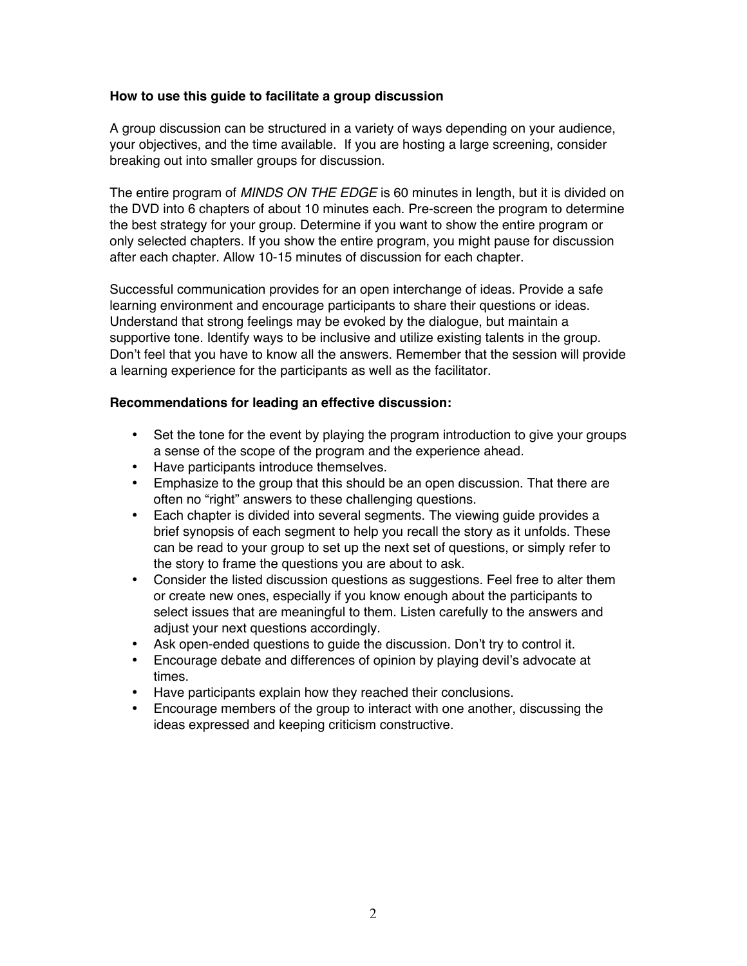#### **How to use this guide to facilitate a group discussion**

A group discussion can be structured in a variety of ways depending on your audience, your objectives, and the time available. If you are hosting a large screening, consider breaking out into smaller groups for discussion.

The entire program of *MINDS ON THE EDGE* is 60 minutes in length, but it is divided on the DVD into 6 chapters of about 10 minutes each. Pre-screen the program to determine the best strategy for your group. Determine if you want to show the entire program or only selected chapters. If you show the entire program, you might pause for discussion after each chapter. Allow 10-15 minutes of discussion for each chapter.

Successful communication provides for an open interchange of ideas. Provide a safe learning environment and encourage participants to share their questions or ideas. Understand that strong feelings may be evoked by the dialogue, but maintain a supportive tone. Identify ways to be inclusive and utilize existing talents in the group. Don't feel that you have to know all the answers. Remember that the session will provide a learning experience for the participants as well as the facilitator.

#### **Recommendations for leading an effective discussion:**

- Set the tone for the event by playing the program introduction to give your groups a sense of the scope of the program and the experience ahead.
- Have participants introduce themselves.
- Emphasize to the group that this should be an open discussion. That there are often no "right" answers to these challenging questions.
- Each chapter is divided into several segments. The viewing guide provides a brief synopsis of each segment to help you recall the story as it unfolds. These can be read to your group to set up the next set of questions, or simply refer to the story to frame the questions you are about to ask.
- Consider the listed discussion questions as suggestions. Feel free to alter them or create new ones, especially if you know enough about the participants to select issues that are meaningful to them. Listen carefully to the answers and adjust your next questions accordingly.
- Ask open-ended questions to guide the discussion. Don't try to control it.
- Encourage debate and differences of opinion by playing devil's advocate at times.
- Have participants explain how they reached their conclusions.
- Encourage members of the group to interact with one another, discussing the ideas expressed and keeping criticism constructive.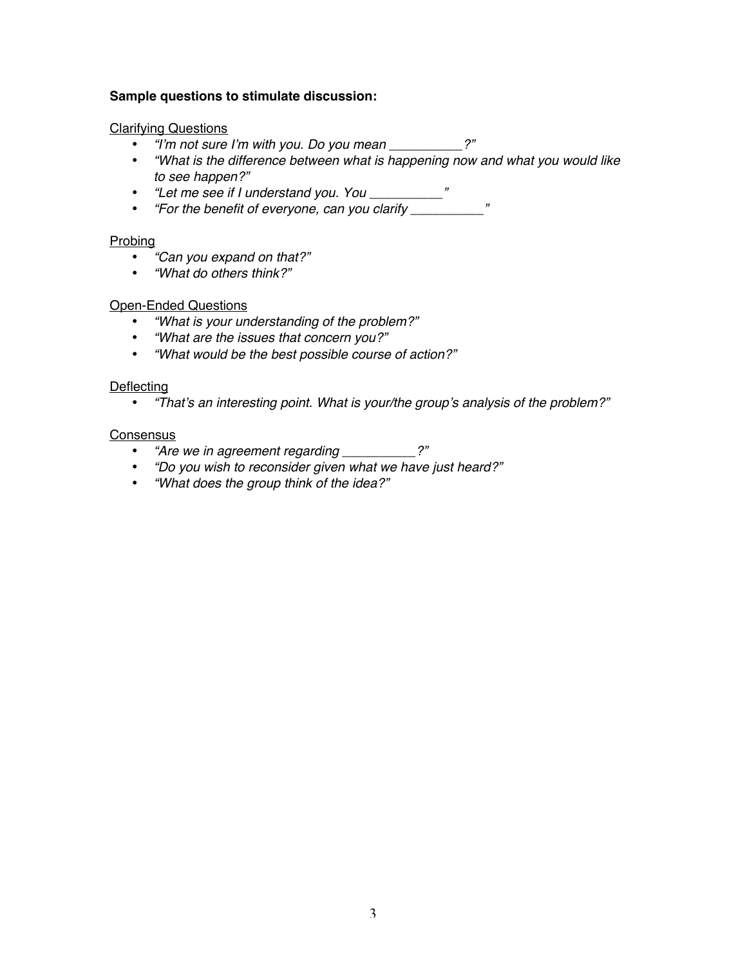#### **Sample questions to stimulate discussion:**

#### Clarifying Questions

- *"I*'*m not sure I*'*m with you. Do you mean \_\_\_\_\_\_\_\_\_\_?"*
- *"What is the difference between what is happening now and what you would like to see happen?"*
- *"Let me see if I understand you. You \_\_\_\_\_\_\_\_\_\_"*
- *"For the benefit of everyone, can you clarify \_\_\_\_\_\_\_\_\_\_"*

#### **Probing**

- *"Can you expand on that?"*
- *"What do others think?"*

#### Open-Ended Questions

- *"What is your understanding of the problem?"*
- *"What are the issues that concern you?"*
- *"What would be the best possible course of action?"*

#### **Deflecting**

• *"That*'*s an interesting point. What is your/the group*'*s analysis of the problem?"*

#### **Consensus**

- *"Are we in agreement regarding \_\_\_\_\_\_\_\_\_\_?"*
- *"Do you wish to reconsider given what we have just heard?"*
- *"What does the group think of the idea?"*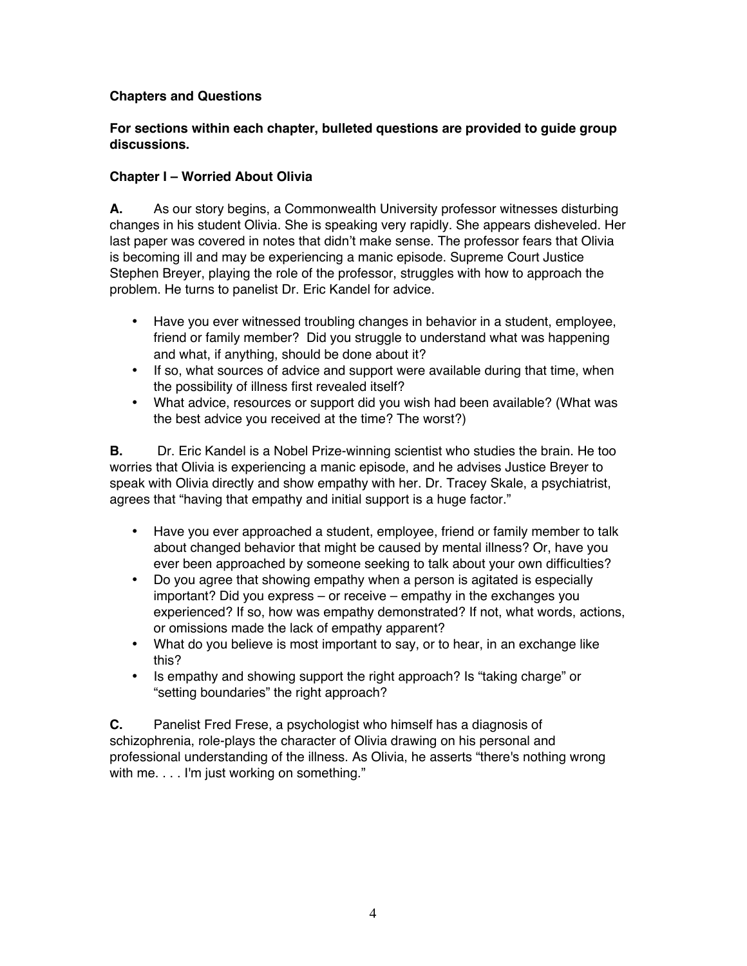### **Chapters and Questions**

### **For sections within each chapter, bulleted questions are provided to guide group discussions.**

### **Chapter I – Worried About Olivia**

**A.** As our story begins, a Commonwealth University professor witnesses disturbing changes in his student Olivia. She is speaking very rapidly. She appears disheveled. Her last paper was covered in notes that didn't make sense. The professor fears that Olivia is becoming ill and may be experiencing a manic episode. Supreme Court Justice Stephen Breyer, playing the role of the professor, struggles with how to approach the problem. He turns to panelist Dr. Eric Kandel for advice.

- Have you ever witnessed troubling changes in behavior in a student, employee, friend or family member? Did you struggle to understand what was happening and what, if anything, should be done about it?
- If so, what sources of advice and support were available during that time, when the possibility of illness first revealed itself?
- What advice, resources or support did you wish had been available? (What was the best advice you received at the time? The worst?)

**B.** Dr. Eric Kandel is a Nobel Prize-winning scientist who studies the brain. He too worries that Olivia is experiencing a manic episode, and he advises Justice Breyer to speak with Olivia directly and show empathy with her. Dr. Tracey Skale, a psychiatrist, agrees that "having that empathy and initial support is a huge factor."

- Have you ever approached a student, employee, friend or family member to talk about changed behavior that might be caused by mental illness? Or, have you ever been approached by someone seeking to talk about your own difficulties?
- Do you agree that showing empathy when a person is agitated is especially important? Did you express – or receive – empathy in the exchanges you experienced? If so, how was empathy demonstrated? If not, what words, actions, or omissions made the lack of empathy apparent?
- What do you believe is most important to say, or to hear, in an exchange like this?
- Is empathy and showing support the right approach? Is "taking charge" or "setting boundaries" the right approach?

**C.** Panelist Fred Frese, a psychologist who himself has a diagnosis of schizophrenia, role-plays the character of Olivia drawing on his personal and professional understanding of the illness. As Olivia, he asserts "there's nothing wrong with me.... I'm just working on something."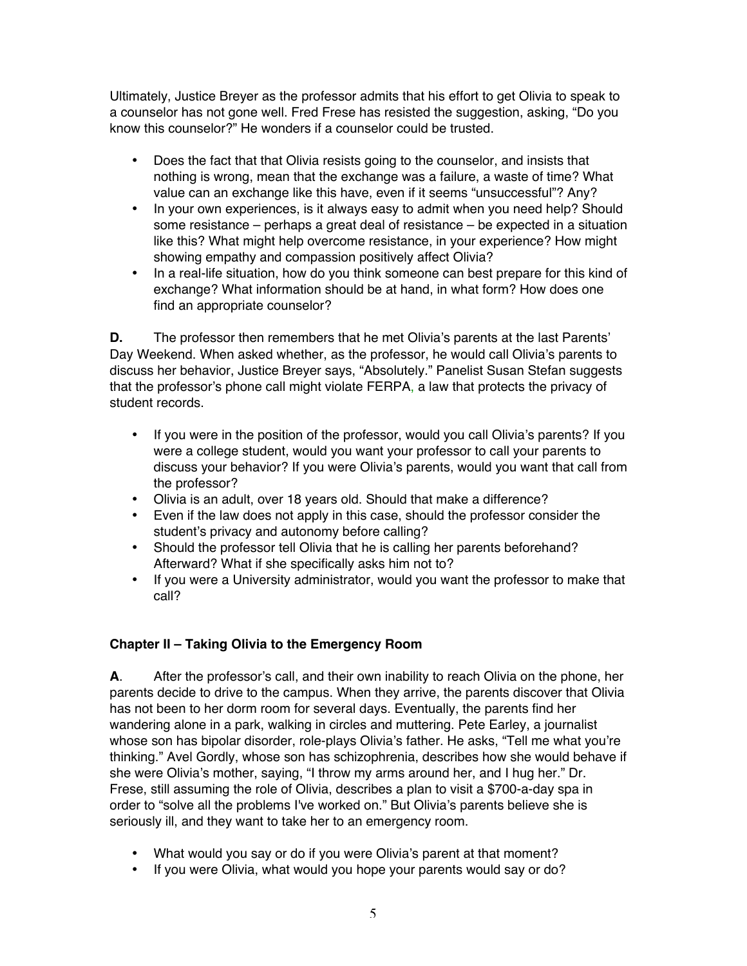Ultimately, Justice Breyer as the professor admits that his effort to get Olivia to speak to a counselor has not gone well. Fred Frese has resisted the suggestion, asking, "Do you know this counselor?" He wonders if a counselor could be trusted.

- Does the fact that that Olivia resists going to the counselor, and insists that nothing is wrong, mean that the exchange was a failure, a waste of time? What value can an exchange like this have, even if it seems "unsuccessful"? Any?
- In your own experiences, is it always easy to admit when you need help? Should some resistance – perhaps a great deal of resistance – be expected in a situation like this? What might help overcome resistance, in your experience? How might showing empathy and compassion positively affect Olivia?
- In a real-life situation, how do you think someone can best prepare for this kind of exchange? What information should be at hand, in what form? How does one find an appropriate counselor?

**D.** The professor then remembers that he met Olivia's parents at the last Parents' Day Weekend. When asked whether, as the professor, he would call Olivia's parents to discuss her behavior, Justice Breyer says, "Absolutely." Panelist Susan Stefan suggests that the professor's phone call might violate FERPA, a law that protects the privacy of student records.

- If you were in the position of the professor, would you call Olivia's parents? If you were a college student, would you want your professor to call your parents to discuss your behavior? If you were Olivia's parents, would you want that call from the professor?
- Olivia is an adult, over 18 years old. Should that make a difference?
- Even if the law does not apply in this case, should the professor consider the student's privacy and autonomy before calling?
- Should the professor tell Olivia that he is calling her parents beforehand? Afterward? What if she specifically asks him not to?
- If you were a University administrator, would you want the professor to make that call?

# **Chapter II – Taking Olivia to the Emergency Room**

**A**. After the professor's call, and their own inability to reach Olivia on the phone, her parents decide to drive to the campus. When they arrive, the parents discover that Olivia has not been to her dorm room for several days. Eventually, the parents find her wandering alone in a park, walking in circles and muttering. Pete Earley, a journalist whose son has bipolar disorder, role-plays Olivia's father. He asks, "Tell me what you're thinking." Avel Gordly, whose son has schizophrenia, describes how she would behave if she were Olivia's mother, saying, "I throw my arms around her, and I hug her." Dr. Frese, still assuming the role of Olivia, describes a plan to visit a \$700-a-day spa in order to "solve all the problems I've worked on." But Olivia's parents believe she is seriously ill, and they want to take her to an emergency room.

- What would you say or do if you were Olivia's parent at that moment?
- If you were Olivia, what would you hope your parents would say or do?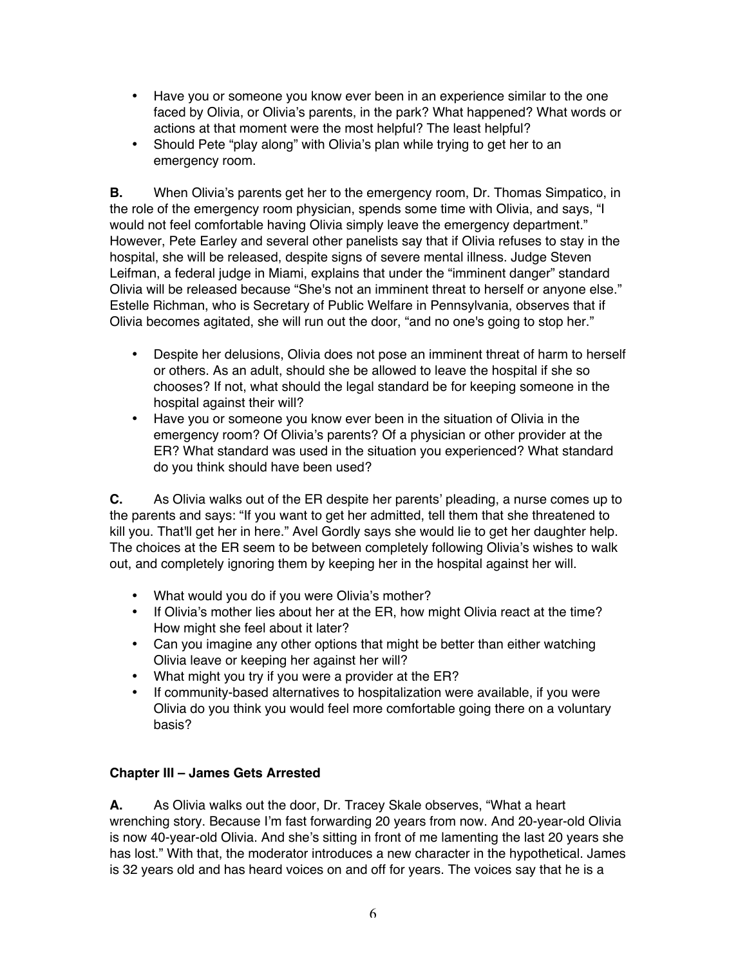- Have you or someone you know ever been in an experience similar to the one faced by Olivia, or Olivia's parents, in the park? What happened? What words or actions at that moment were the most helpful? The least helpful?
- Should Pete "play along" with Olivia's plan while trying to get her to an emergency room.

**B.** When Olivia's parents get her to the emergency room, Dr. Thomas Simpatico, in the role of the emergency room physician, spends some time with Olivia, and says, "I would not feel comfortable having Olivia simply leave the emergency department." However, Pete Earley and several other panelists say that if Olivia refuses to stay in the hospital, she will be released, despite signs of severe mental illness. Judge Steven Leifman, a federal judge in Miami, explains that under the "imminent danger" standard Olivia will be released because "She's not an imminent threat to herself or anyone else." Estelle Richman, who is Secretary of Public Welfare in Pennsylvania, observes that if Olivia becomes agitated, she will run out the door, "and no one's going to stop her."

- Despite her delusions, Olivia does not pose an imminent threat of harm to herself or others. As an adult, should she be allowed to leave the hospital if she so chooses? If not, what should the legal standard be for keeping someone in the hospital against their will?
- Have you or someone you know ever been in the situation of Olivia in the emergency room? Of Olivia's parents? Of a physician or other provider at the ER? What standard was used in the situation you experienced? What standard do you think should have been used?

**C.** As Olivia walks out of the ER despite her parents' pleading, a nurse comes up to the parents and says: "If you want to get her admitted, tell them that she threatened to kill you. That'll get her in here." Avel Gordly says she would lie to get her daughter help. The choices at the ER seem to be between completely following Olivia's wishes to walk out, and completely ignoring them by keeping her in the hospital against her will.

- What would you do if you were Olivia's mother?
- If Olivia's mother lies about her at the ER, how might Olivia react at the time? How might she feel about it later?
- Can you imagine any other options that might be better than either watching Olivia leave or keeping her against her will?
- What might you try if you were a provider at the ER?
- If community-based alternatives to hospitalization were available, if you were Olivia do you think you would feel more comfortable going there on a voluntary basis?

# **Chapter III – James Gets Arrested**

**A.** As Olivia walks out the door, Dr. Tracey Skale observes, "What a heart wrenching story. Because I'm fast forwarding 20 years from now. And 20-year-old Olivia is now 40-year-old Olivia. And she's sitting in front of me lamenting the last 20 years she has lost." With that, the moderator introduces a new character in the hypothetical. James is 32 years old and has heard voices on and off for years. The voices say that he is a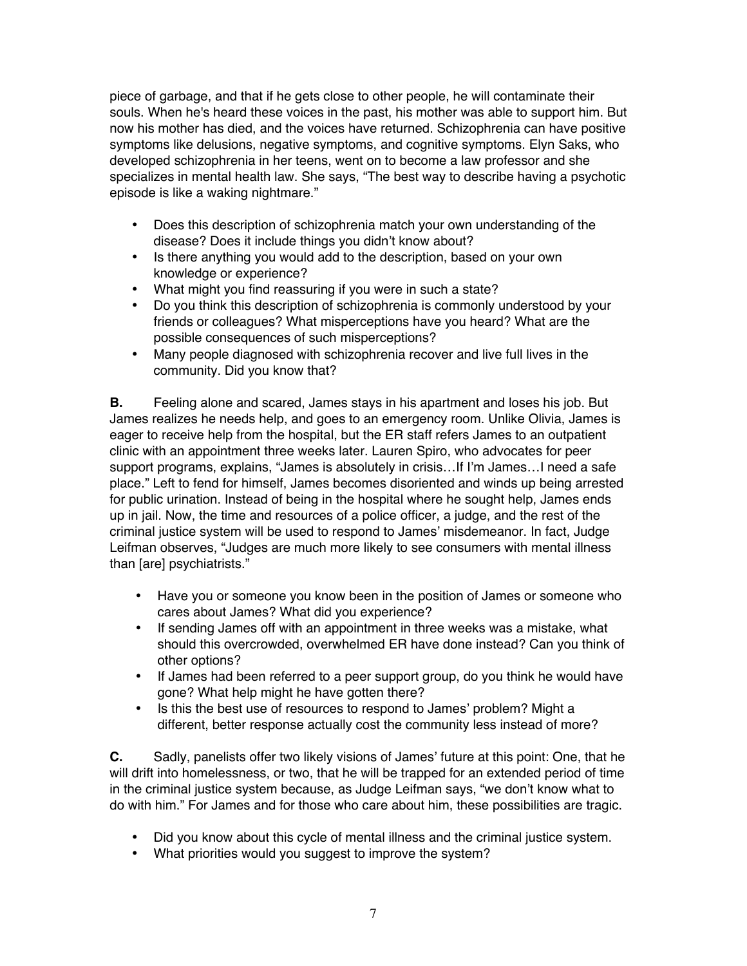piece of garbage, and that if he gets close to other people, he will contaminate their souls. When he's heard these voices in the past, his mother was able to support him. But now his mother has died, and the voices have returned. Schizophrenia can have positive symptoms like delusions, negative symptoms, and cognitive symptoms. Elyn Saks, who developed schizophrenia in her teens, went on to become a law professor and she specializes in mental health law. She says, "The best way to describe having a psychotic episode is like a waking nightmare."

- Does this description of schizophrenia match your own understanding of the disease? Does it include things you didn't know about?
- Is there anything you would add to the description, based on your own knowledge or experience?
- What might you find reassuring if you were in such a state?
- Do you think this description of schizophrenia is commonly understood by your friends or colleagues? What misperceptions have you heard? What are the possible consequences of such misperceptions?
- Many people diagnosed with schizophrenia recover and live full lives in the community. Did you know that?

**B.** Feeling alone and scared, James stays in his apartment and loses his job. But James realizes he needs help, and goes to an emergency room. Unlike Olivia, James is eager to receive help from the hospital, but the ER staff refers James to an outpatient clinic with an appointment three weeks later. Lauren Spiro, who advocates for peer support programs, explains, "James is absolutely in crisis…If I'm James…I need a safe place." Left to fend for himself, James becomes disoriented and winds up being arrested for public urination. Instead of being in the hospital where he sought help, James ends up in jail. Now, the time and resources of a police officer, a judge, and the rest of the criminal justice system will be used to respond to James' misdemeanor. In fact, Judge Leifman observes, "Judges are much more likely to see consumers with mental illness than [are] psychiatrists."

- Have you or someone you know been in the position of James or someone who cares about James? What did you experience?
- If sending James off with an appointment in three weeks was a mistake, what should this overcrowded, overwhelmed ER have done instead? Can you think of other options?
- If James had been referred to a peer support group, do you think he would have gone? What help might he have gotten there?
- Is this the best use of resources to respond to James' problem? Might a different, better response actually cost the community less instead of more?

**C.** Sadly, panelists offer two likely visions of James' future at this point: One, that he will drift into homelessness, or two, that he will be trapped for an extended period of time in the criminal justice system because, as Judge Leifman says, "we don't know what to do with him." For James and for those who care about him, these possibilities are tragic.

- Did you know about this cycle of mental illness and the criminal justice system.
- What priorities would you suggest to improve the system?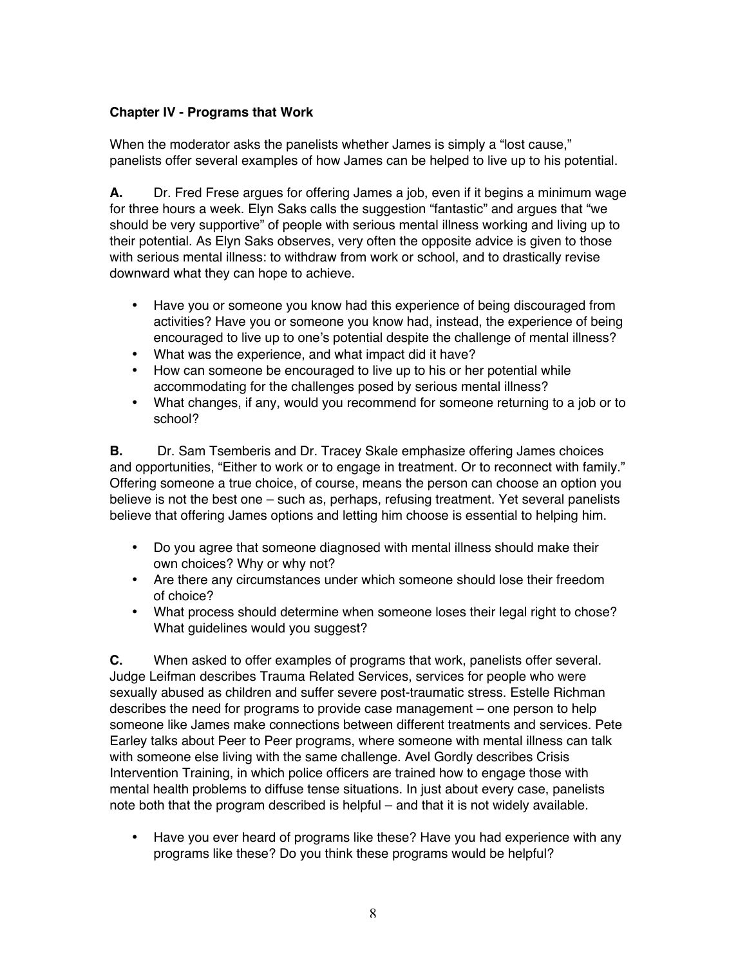### **Chapter IV - Programs that Work**

When the moderator asks the panelists whether James is simply a "lost cause," panelists offer several examples of how James can be helped to live up to his potential.

**A.** Dr. Fred Frese argues for offering James a job, even if it begins a minimum wage for three hours a week. Elyn Saks calls the suggestion "fantastic" and argues that "we should be very supportive" of people with serious mental illness working and living up to their potential. As Elyn Saks observes, very often the opposite advice is given to those with serious mental illness: to withdraw from work or school, and to drastically revise downward what they can hope to achieve.

- Have you or someone you know had this experience of being discouraged from activities? Have you or someone you know had, instead, the experience of being encouraged to live up to one's potential despite the challenge of mental illness?
- What was the experience, and what impact did it have?
- How can someone be encouraged to live up to his or her potential while accommodating for the challenges posed by serious mental illness?
- What changes, if any, would you recommend for someone returning to a job or to school?

**B.** Dr. Sam Tsemberis and Dr. Tracey Skale emphasize offering James choices and opportunities, "Either to work or to engage in treatment. Or to reconnect with family." Offering someone a true choice, of course, means the person can choose an option you believe is not the best one – such as, perhaps, refusing treatment. Yet several panelists believe that offering James options and letting him choose is essential to helping him.

- Do you agree that someone diagnosed with mental illness should make their own choices? Why or why not?
- Are there any circumstances under which someone should lose their freedom of choice?
- What process should determine when someone loses their legal right to chose? What guidelines would you suggest?

**C.** When asked to offer examples of programs that work, panelists offer several. Judge Leifman describes Trauma Related Services, services for people who were sexually abused as children and suffer severe post-traumatic stress. Estelle Richman describes the need for programs to provide case management – one person to help someone like James make connections between different treatments and services. Pete Earley talks about Peer to Peer programs, where someone with mental illness can talk with someone else living with the same challenge. Avel Gordly describes Crisis Intervention Training, in which police officers are trained how to engage those with mental health problems to diffuse tense situations. In just about every case, panelists note both that the program described is helpful – and that it is not widely available.

• Have you ever heard of programs like these? Have you had experience with any programs like these? Do you think these programs would be helpful?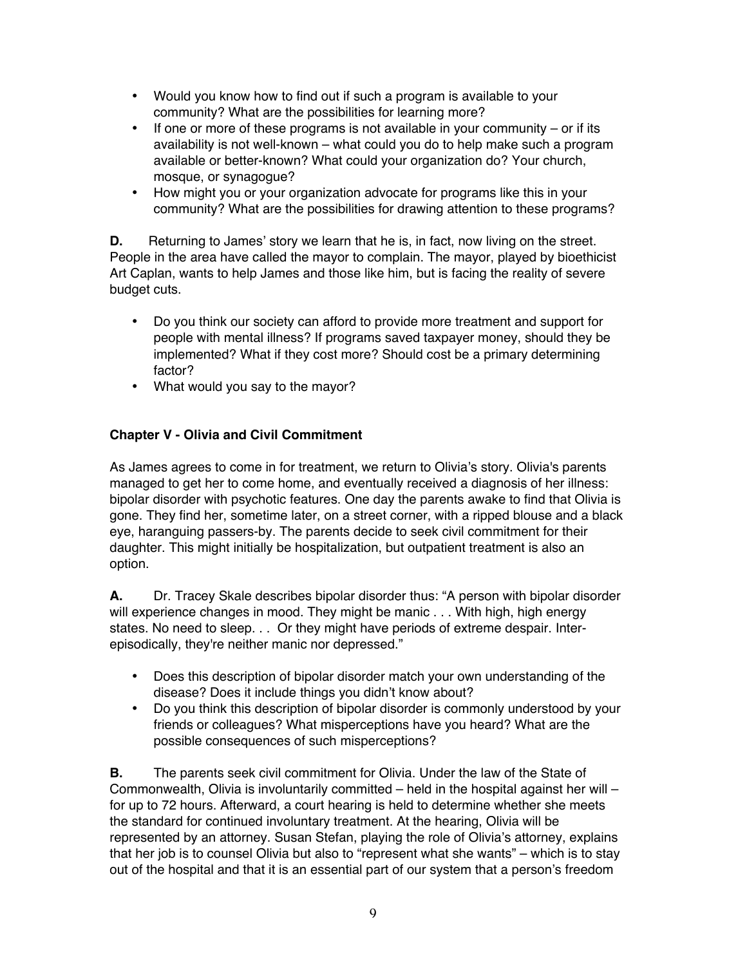- Would you know how to find out if such a program is available to your community? What are the possibilities for learning more?
- $\bullet$  If one or more of these programs is not available in your community or if its availability is not well-known – what could you do to help make such a program available or better-known? What could your organization do? Your church, mosque, or synagogue?
- How might you or your organization advocate for programs like this in your community? What are the possibilities for drawing attention to these programs?

**D.** Returning to James' story we learn that he is, in fact, now living on the street. People in the area have called the mayor to complain. The mayor, played by bioethicist Art Caplan, wants to help James and those like him, but is facing the reality of severe budget cuts.

- Do you think our society can afford to provide more treatment and support for people with mental illness? If programs saved taxpayer money, should they be implemented? What if they cost more? Should cost be a primary determining factor?
- What would you say to the mayor?

# **Chapter V - Olivia and Civil Commitment**

As James agrees to come in for treatment, we return to Olivia's story. Olivia's parents managed to get her to come home, and eventually received a diagnosis of her illness: bipolar disorder with psychotic features. One day the parents awake to find that Olivia is gone. They find her, sometime later, on a street corner, with a ripped blouse and a black eye, haranguing passers-by. The parents decide to seek civil commitment for their daughter. This might initially be hospitalization, but outpatient treatment is also an option.

**A.** Dr. Tracey Skale describes bipolar disorder thus: "A person with bipolar disorder will experience changes in mood. They might be manic . . . With high, high energy states. No need to sleep. . . Or they might have periods of extreme despair. Interepisodically, they're neither manic nor depressed."

- Does this description of bipolar disorder match your own understanding of the disease? Does it include things you didn't know about?
- Do you think this description of bipolar disorder is commonly understood by your friends or colleagues? What misperceptions have you heard? What are the possible consequences of such misperceptions?

**B.** The parents seek civil commitment for Olivia. Under the law of the State of Commonwealth, Olivia is involuntarily committed – held in the hospital against her will – for up to 72 hours. Afterward, a court hearing is held to determine whether she meets the standard for continued involuntary treatment. At the hearing, Olivia will be represented by an attorney. Susan Stefan, playing the role of Olivia's attorney, explains that her job is to counsel Olivia but also to "represent what she wants" – which is to stay out of the hospital and that it is an essential part of our system that a person's freedom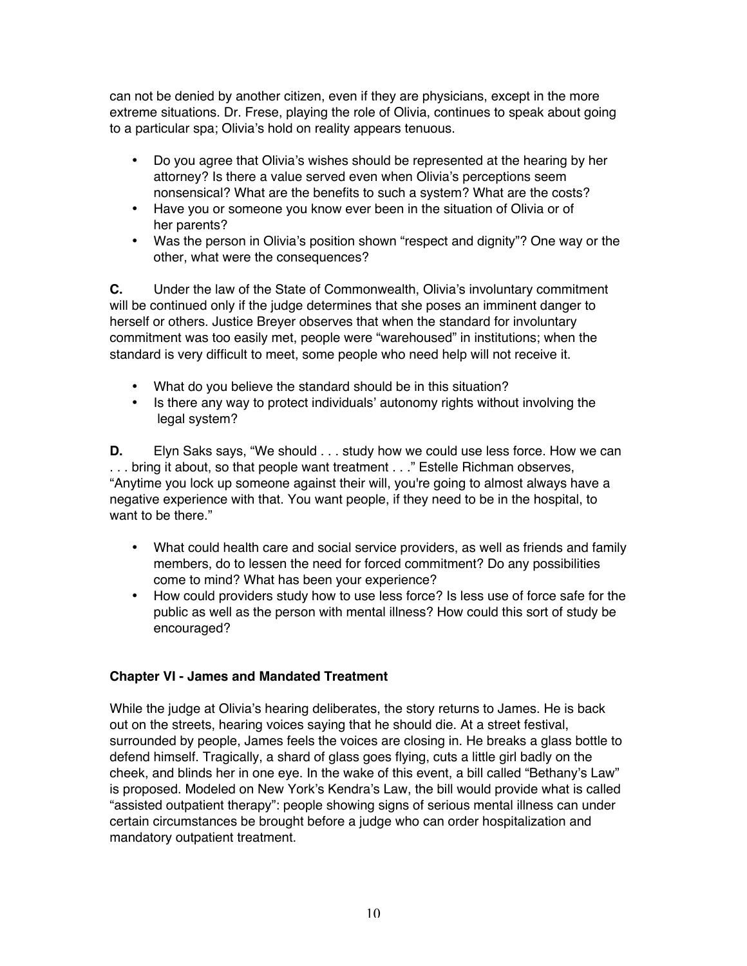can not be denied by another citizen, even if they are physicians, except in the more extreme situations. Dr. Frese, playing the role of Olivia, continues to speak about going to a particular spa; Olivia's hold on reality appears tenuous.

- Do you agree that Olivia's wishes should be represented at the hearing by her attorney? Is there a value served even when Olivia's perceptions seem nonsensical? What are the benefits to such a system? What are the costs?
- Have you or someone you know ever been in the situation of Olivia or of her parents?
- Was the person in Olivia's position shown "respect and dignity"? One way or the other, what were the consequences?

**C.** Under the law of the State of Commonwealth, Olivia's involuntary commitment will be continued only if the judge determines that she poses an imminent danger to herself or others. Justice Breyer observes that when the standard for involuntary commitment was too easily met, people were "warehoused" in institutions; when the standard is very difficult to meet, some people who need help will not receive it.

- What do you believe the standard should be in this situation?
- Is there any way to protect individuals' autonomy rights without involving the legal system?

**D.** Elyn Saks says, "We should . . . study how we could use less force. How we can . . . bring it about, so that people want treatment . . ." Estelle Richman observes, "Anytime you lock up someone against their will, you're going to almost always have a negative experience with that. You want people, if they need to be in the hospital, to want to be there."

- What could health care and social service providers, as well as friends and family members, do to lessen the need for forced commitment? Do any possibilities come to mind? What has been your experience?
- How could providers study how to use less force? Is less use of force safe for the public as well as the person with mental illness? How could this sort of study be encouraged?

# **Chapter VI - James and Mandated Treatment**

While the judge at Olivia's hearing deliberates, the story returns to James. He is back out on the streets, hearing voices saying that he should die. At a street festival, surrounded by people, James feels the voices are closing in. He breaks a glass bottle to defend himself. Tragically, a shard of glass goes flying, cuts a little girl badly on the cheek, and blinds her in one eye. In the wake of this event, a bill called "Bethany's Law" is proposed. Modeled on New York's Kendra's Law, the bill would provide what is called "assisted outpatient therapy": people showing signs of serious mental illness can under certain circumstances be brought before a judge who can order hospitalization and mandatory outpatient treatment.